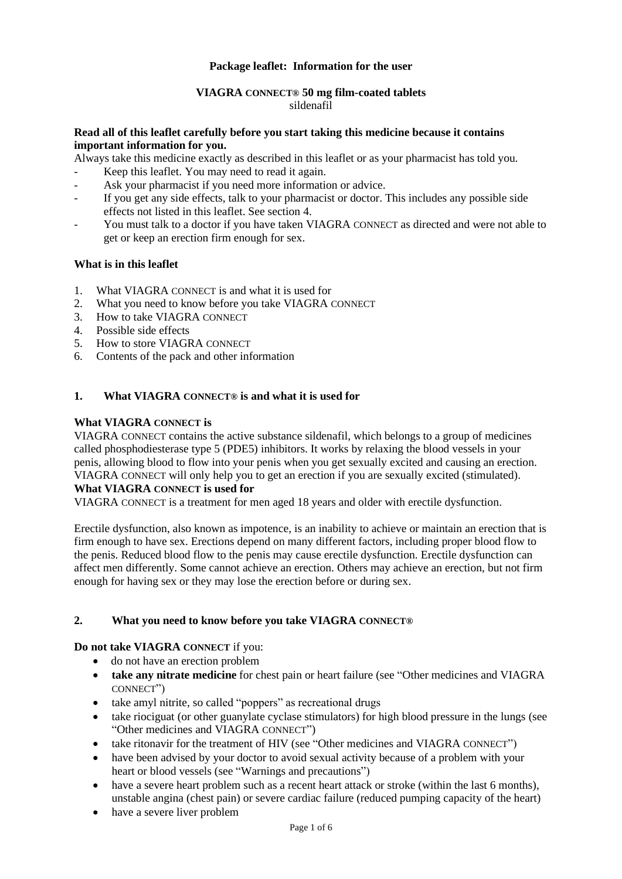### **Package leaflet: Information for the user**

#### **VIAGRA CONNECT® 50 mg film-coated tablets** sildenafil

#### **Read all of this leaflet carefully before you start taking this medicine because it contains important information for you.**

Always take this medicine exactly as described in this leaflet or as your pharmacist has told you.

- Keep this leaflet. You may need to read it again.
- Ask your pharmacist if you need more information or advice.
- If you get any side effects, talk to your pharmacist or doctor. This includes any possible side effects not listed in this leaflet. See section 4.
- You must talk to a doctor if you have taken VIAGRA CONNECT as directed and were not able to get or keep an erection firm enough for sex.

#### **What is in this leaflet**

- 1. What VIAGRA CONNECT is and what it is used for
- 2. What you need to know before you take VIAGRA CONNECT
- 3. How to take VIAGRA CONNECT
- 4. Possible side effects
- 5. How to store VIAGRA CONNECT<br>6. Contents of the nack and other inf
- Contents of the pack and other information

#### **1. What VIAGRA CONNECT® is and what it is used for**

### **What VIAGRA CONNECT is**

VIAGRA CONNECT contains the active substance sildenafil, which belongs to a group of medicines called phosphodiesterase type 5 (PDE5) inhibitors. It works by relaxing the blood vessels in your penis, allowing blood to flow into your penis when you get sexually excited and causing an erection. VIAGRA CONNECT will only help you to get an erection if you are sexually excited (stimulated).

# **What VIAGRA CONNECT is used for**

VIAGRA CONNECT is a treatment for men aged 18 years and older with erectile dysfunction.

Erectile dysfunction, also known as impotence, is an inability to achieve or maintain an erection that is firm enough to have sex. Erections depend on many different factors, including proper blood flow to the penis. Reduced blood flow to the penis may cause erectile dysfunction. Erectile dysfunction can affect men differently. Some cannot achieve an erection. Others may achieve an erection, but not firm enough for having sex or they may lose the erection before or during sex.

#### **2. What you need to know before you take VIAGRA CONNECT®**

#### **Do not take VIAGRA CONNECT** if you:

- do not have an erection problem
- **take any nitrate medicine** for chest pain or heart failure (see "Other medicines and VIAGRA CONNECT")
- take amyl nitrite, so called "poppers" as recreational drugs
- take riociguat (or other guanylate cyclase stimulators) for high blood pressure in the lungs (see "Other medicines and VIAGRA CONNECT")
- take ritonavir for the treatment of HIV (see "Other medicines and VIAGRA CONNECT")
- have been advised by your doctor to avoid sexual activity because of a problem with your heart or blood vessels (see "Warnings and precautions")
- have a severe heart problem such as a recent heart attack or stroke (within the last 6 months). unstable angina (chest pain) or severe cardiac failure (reduced pumping capacity of the heart)
- have a severe liver problem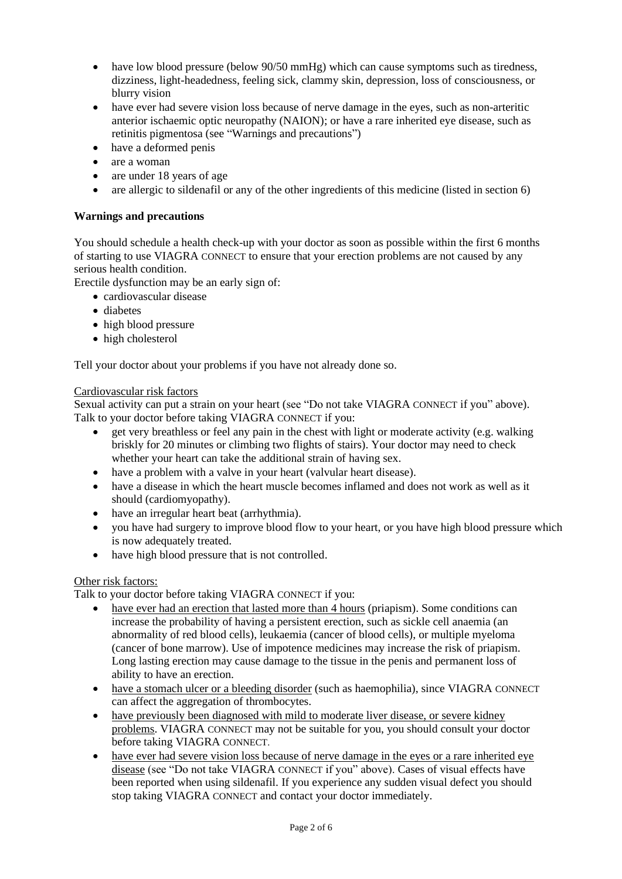- have low blood pressure (below 90/50 mmHg) which can cause symptoms such as tiredness, dizziness, light-headedness, feeling sick, clammy skin, depression, loss of consciousness, or blurry vision
- have ever had severe vision loss because of nerve damage in the eyes, such as non-arteritic anterior ischaemic optic neuropathy (NAION); or have a rare inherited eye disease, such as retinitis pigmentosa (see "Warnings and precautions")
- have a deformed penis
- are a woman
- are under 18 years of age
- are allergic to sildenafil or any of the other ingredients of this medicine (listed in section 6)

### **Warnings and precautions**

You should schedule a health check-up with your doctor as soon as possible within the first 6 months of starting to use VIAGRA CONNECT to ensure that your erection problems are not caused by any serious health condition.

Erectile dysfunction may be an early sign of:

- cardiovascular disease
- diabetes
- high blood pressure
- high cholesterol

Tell your doctor about your problems if you have not already done so.

#### Cardiovascular risk factors

Sexual activity can put a strain on your heart (see "Do not take VIAGRA CONNECT if you" above). Talk to your doctor before taking VIAGRA CONNECT if you:

- get very breathless or feel any pain in the chest with light or moderate activity (e.g. walking briskly for 20 minutes or climbing two flights of stairs). Your doctor may need to check whether your heart can take the additional strain of having sex.
- have a problem with a valve in your heart (valvular heart disease).
- have a disease in which the heart muscle becomes inflamed and does not work as well as it should (cardiomyopathy).
- have an irregular heart beat (arrhythmia).
- you have had surgery to improve blood flow to your heart, or you have high blood pressure which is now adequately treated.
- have high blood pressure that is not controlled.

### Other risk factors:

Talk to your doctor before taking VIAGRA CONNECT if you:

- have ever had an erection that lasted more than 4 hours (priapism). Some conditions can increase the probability of having a persistent erection, such as sickle cell anaemia (an abnormality of red blood cells), leukaemia (cancer of blood cells), or multiple myeloma (cancer of bone marrow). Use of impotence medicines may increase the risk of priapism. Long lasting erection may cause damage to the tissue in the penis and permanent loss of ability to have an erection.
- have a stomach ulcer or a bleeding disorder (such as haemophilia), since VIAGRA CONNECT can affect the aggregation of thrombocytes.
- have previously been diagnosed with mild to moderate liver disease, or severe kidney problems. VIAGRA CONNECT may not be suitable for you, you should consult your doctor before taking VIAGRA CONNECT.
- have ever had severe vision loss because of nerve damage in the eyes or a rare inherited eye disease (see "Do not take VIAGRA CONNECT if you" above). Cases of visual effects have been reported when using sildenafil. If you experience any sudden visual defect you should stop taking VIAGRA CONNECT and contact your doctor immediately.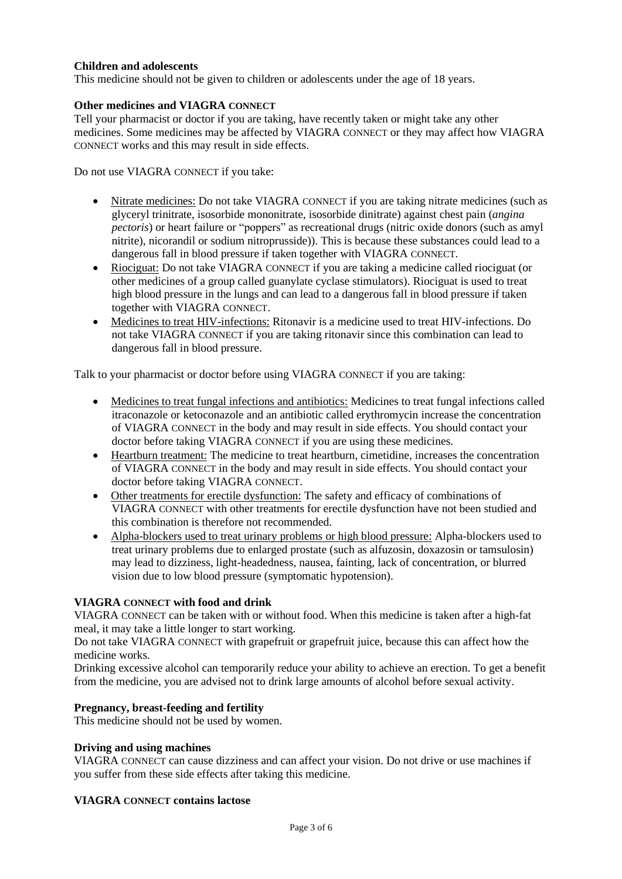### **Children and adolescents**

This medicine should not be given to children or adolescents under the age of 18 years.

### **Other medicines and VIAGRA CONNECT**

Tell your pharmacist or doctor if you are taking, have recently taken or might take any other medicines. Some medicines may be affected by VIAGRA CONNECT or they may affect how VIAGRA CONNECT works and this may result in side effects.

Do not use VIAGRA CONNECT if you take:

- Nitrate medicines: Do not take VIAGRA CONNECT if you are taking nitrate medicines (such as glyceryl trinitrate, isosorbide mononitrate, isosorbide dinitrate) against chest pain (*angina pectoris*) or heart failure or "poppers" as recreational drugs (nitric oxide donors (such as amyl nitrite), nicorandil or sodium nitroprusside)). This is because these substances could lead to a dangerous fall in blood pressure if taken together with VIAGRA CONNECT.
- Riociguat: Do not take VIAGRA CONNECT if you are taking a medicine called riociguat (or other medicines of a group called guanylate cyclase stimulators). Riociguat is used to treat high blood pressure in the lungs and can lead to a dangerous fall in blood pressure if taken together with VIAGRA CONNECT.
- Medicines to treat HIV-infections: Ritonavir is a medicine used to treat HIV-infections. Do not take VIAGRA CONNECT if you are taking ritonavir since this combination can lead to dangerous fall in blood pressure.

Talk to your pharmacist or doctor before using VIAGRA CONNECT if you are taking:

- Medicines to treat fungal infections and antibiotics: Medicines to treat fungal infections called itraconazole or ketoconazole and an antibiotic called erythromycin increase the concentration of VIAGRA CONNECT in the body and may result in side effects. You should contact your doctor before taking VIAGRA CONNECT if you are using these medicines.
- Heartburn treatment: The medicine to treat heartburn, cimetidine, increases the concentration of VIAGRA CONNECT in the body and may result in side effects. You should contact your doctor before taking VIAGRA CONNECT.
- Other treatments for erectile dysfunction: The safety and efficacy of combinations of VIAGRA CONNECT with other treatments for erectile dysfunction have not been studied and this combination is therefore not recommended.
- Alpha-blockers used to treat urinary problems or high blood pressure: Alpha-blockers used to treat urinary problems due to enlarged prostate (such as alfuzosin, doxazosin or tamsulosin) may lead to dizziness, light-headedness, nausea, fainting, lack of concentration, or blurred vision due to low blood pressure (symptomatic hypotension).

#### **VIAGRA CONNECT with food and drink**

VIAGRA CONNECT can be taken with or without food. When this medicine is taken after a high-fat meal, it may take a little longer to start working.

Do not take VIAGRA CONNECT with grapefruit or grapefruit juice, because this can affect how the medicine works.

Drinking excessive alcohol can temporarily reduce your ability to achieve an erection. To get a benefit from the medicine, you are advised not to drink large amounts of alcohol before sexual activity.

#### **Pregnancy, breast-feeding and fertility**

This medicine should not be used by women.

#### **Driving and using machines**

VIAGRA CONNECT can cause dizziness and can affect your vision. Do not drive or use machines if you suffer from these side effects after taking this medicine.

#### **VIAGRA CONNECT contains lactose**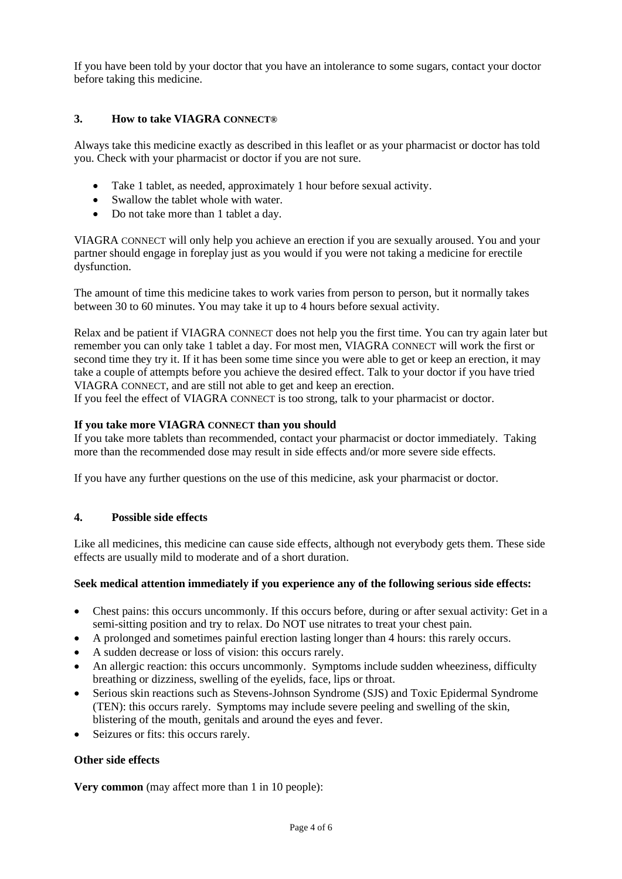If you have been told by your doctor that you have an intolerance to some sugars, contact your doctor before taking this medicine.

### **3. How to take VIAGRA CONNECT®**

Always take this medicine exactly as described in this leaflet or as your pharmacist or doctor has told you. Check with your pharmacist or doctor if you are not sure.

- Take 1 tablet, as needed, approximately 1 hour before sexual activity.
- Swallow the tablet whole with water.
- Do not take more than 1 tablet a day.

VIAGRA CONNECT will only help you achieve an erection if you are sexually aroused. You and your partner should engage in foreplay just as you would if you were not taking a medicine for erectile dysfunction.

The amount of time this medicine takes to work varies from person to person, but it normally takes between 30 to 60 minutes. You may take it up to 4 hours before sexual activity.

Relax and be patient if VIAGRA CONNECT does not help you the first time. You can try again later but remember you can only take 1 tablet a day. For most men, VIAGRA CONNECT will work the first or second time they try it. If it has been some time since you were able to get or keep an erection, it may take a couple of attempts before you achieve the desired effect. Talk to your doctor if you have tried VIAGRA CONNECT, and are still not able to get and keep an erection.

If you feel the effect of VIAGRA CONNECT is too strong, talk to your pharmacist or doctor.

#### **If you take more VIAGRA CONNECT than you should**

If you take more tablets than recommended, contact your pharmacist or doctor immediately. Taking more than the recommended dose may result in side effects and/or more severe side effects.

If you have any further questions on the use of this medicine, ask your pharmacist or doctor.

#### **4. Possible side effects**

Like all medicines, this medicine can cause side effects, although not everybody gets them. These side effects are usually mild to moderate and of a short duration.

#### **Seek medical attention immediately if you experience any of the following serious side effects:**

- Chest pains: this occurs uncommonly. If this occurs before, during or after sexual activity: Get in a semi-sitting position and try to relax. Do NOT use nitrates to treat your chest pain.
- A prolonged and sometimes painful erection lasting longer than 4 hours: this rarely occurs.
- A sudden decrease or loss of vision: this occurs rarely.
- An allergic reaction: this occurs uncommonly. Symptoms include sudden wheeziness, difficulty breathing or dizziness, swelling of the eyelids, face, lips or throat.
- Serious skin reactions such as Stevens-Johnson Syndrome (SJS) and Toxic Epidermal Syndrome (TEN): this occurs rarely. Symptoms may include severe peeling and swelling of the skin, blistering of the mouth, genitals and around the eyes and fever.
- Seizures or fits: this occurs rarely.

#### **Other side effects**

**Very common** (may affect more than 1 in 10 people):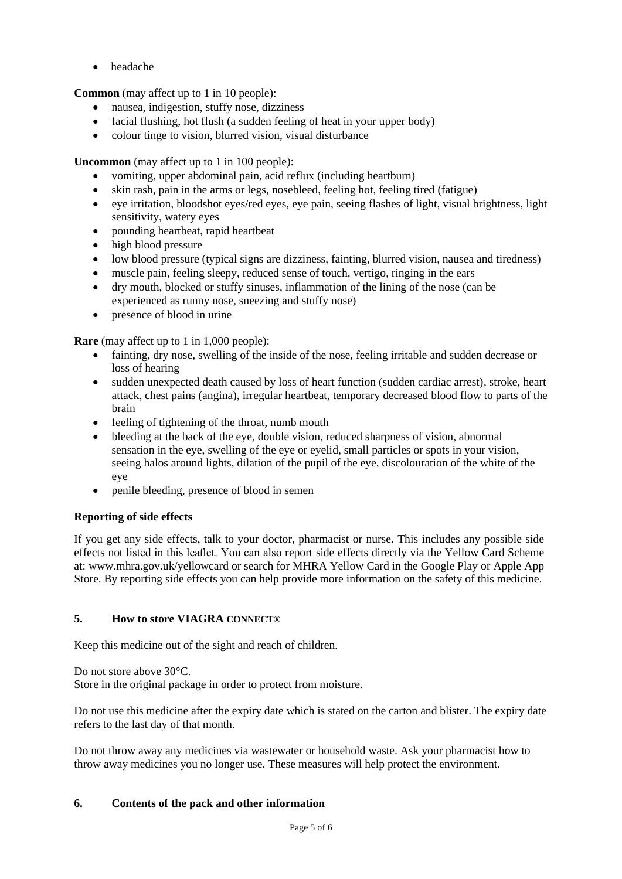• headache

**Common** (may affect up to 1 in 10 people):

- nausea, indigestion, stuffy nose, dizziness
- facial flushing, hot flush (a sudden feeling of heat in your upper body)
- colour tinge to vision, blurred vision, visual disturbance

**Uncommon** (may affect up to 1 in 100 people):

- vomiting, upper abdominal pain, acid reflux (including heartburn)
- skin rash, pain in the arms or legs, nosebleed, feeling hot, feeling tired (fatigue)
- eye irritation, bloodshot eyes/red eyes, eye pain, seeing flashes of light, visual brightness, light sensitivity, watery eyes
- pounding heartbeat, rapid heartbeat
- high blood pressure
- low blood pressure (typical signs are dizziness, fainting, blurred vision, nausea and tiredness)
- muscle pain, feeling sleepy, reduced sense of touch, vertigo, ringing in the ears
- dry mouth, blocked or stuffy sinuses, inflammation of the lining of the nose (can be experienced as runny nose, sneezing and stuffy nose)
- presence of blood in urine

**Rare** (may affect up to 1 in 1,000 people):

- fainting, dry nose, swelling of the inside of the nose, feeling irritable and sudden decrease or loss of hearing
- sudden unexpected death caused by loss of heart function (sudden cardiac arrest), stroke, heart attack, chest pains (angina), irregular heartbeat, temporary decreased blood flow to parts of the brain
- feeling of tightening of the throat, numb mouth
- bleeding at the back of the eye, double vision, reduced sharpness of vision, abnormal sensation in the eye, swelling of the eye or eyelid, small particles or spots in your vision, seeing halos around lights, dilation of the pupil of the eye, discolouration of the white of the eye
- penile bleeding, presence of blood in semen

## **Reporting of side effects**

If you get any side effects, talk to your doctor, pharmacist or nurse. This includes any possible side effects not listed in this leaflet. You can also report side effects directly via the Yellow Card Scheme at: www.mhra.gov.uk/yellowcard or search for MHRA Yellow Card in the Google Play or Apple App Store. By reporting side effects you can help provide more information on the safety of this medicine.

## **5. How to store VIAGRA CONNECT®**

Keep this medicine out of the sight and reach of children.

Do not store above 30°C.

Store in the original package in order to protect from moisture.

Do not use this medicine after the expiry date which is stated on the carton and blister. The expiry date refers to the last day of that month.

Do not throw away any medicines via wastewater or household waste. Ask your pharmacist how to throw away medicines you no longer use. These measures will help protect the environment.

## **6. Contents of the pack and other information**